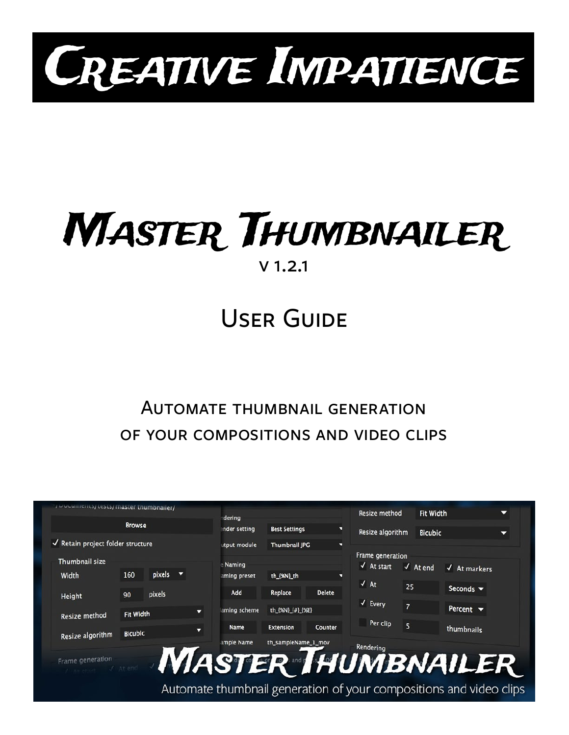

# Master Thumbnailer v 1.2.1

## User Guide

## Automate thumbnail generation of your compositions and video clips

|                                             |                |             |   | dering       |                      |                | Resize method              |                         | <b>Fit Width</b>                 | ▼ |
|---------------------------------------------|----------------|-------------|---|--------------|----------------------|----------------|----------------------------|-------------------------|----------------------------------|---|
|                                             | <b>Browse</b>  |             |   | nder setting | <b>Best Settings</b> | п              | Resize algorithm           |                         | <b>Bicubic</b>                   | ≂ |
| $\sqrt{\ }$ Retain project folder structure |                |             |   | utput module | Thumbnail JPG        | о              |                            |                         |                                  |   |
| Thumbnail size                              |                |             |   |              |                      |                | Frame generation           |                         |                                  |   |
|                                             |                |             |   | e Naming     |                      |                | $\sqrt{4}$ At start        | $\sqrt{ }$ At end       | $\sqrt{\phantom{a}}$ At markers  |   |
| Width                                       | 160            | pixels<br>o |   | aming preset | th_{%N}_th           | o              | $\sqrt{At}$                |                         |                                  |   |
| Height                                      | 90             | pixels      |   | Add          | Replace              | <b>Delete</b>  |                            | 25                      | Seconds $\blacktriangledown$     |   |
|                                             |                |             | ▼ | aming scheme | th_{%N}_{#}_{%E}     |                | $\sqrt{\phantom{a}}$ Every | $\overline{7}$          | Percent $\blacktriangledown$     |   |
| Resize method                               | Fit Width      |             |   |              |                      |                |                            |                         |                                  |   |
| Resize algorithm                            | <b>Bicubic</b> |             | ▼ | Name         | <b>Extension</b>     | <b>Counter</b> | Per clip                   | $\overline{\mathbf{S}}$ | thumbnails                       |   |
|                                             |                |             |   | ample Name   | th_sampleName_1_mov  |                | Rendering                  |                         |                                  |   |
| Frame generation                            |                |             |   |              |                      |                |                            |                         |                                  |   |
|                                             | At end.        |             |   |              |                      |                |                            |                         | <b><i>NIASTER HUMBNAILER</i></b> |   |
|                                             |                |             |   |              |                      |                |                            |                         |                                  |   |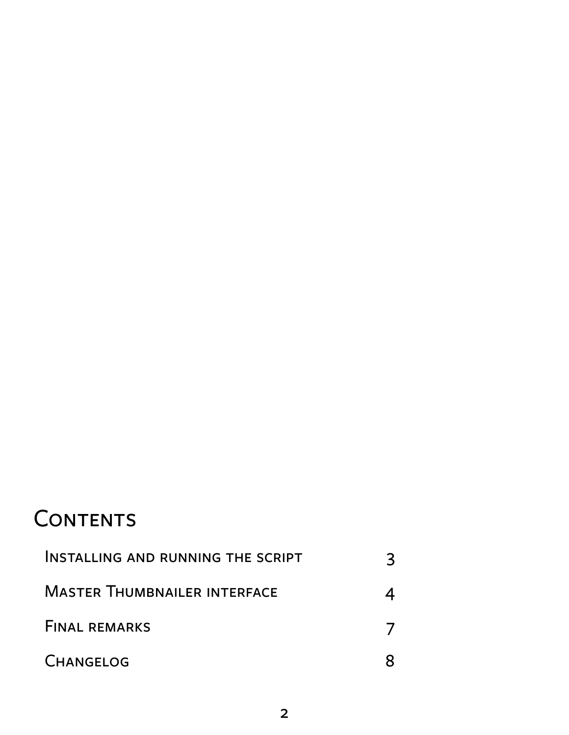## **CONTENTS**

| INSTALLING AND RUNNING THE SCRIPT   |  |
|-------------------------------------|--|
| <b>MASTER THUMBNAILER INTERFACE</b> |  |
| <b>FINAL REMARKS</b>                |  |
| <b>CHANGELOG</b>                    |  |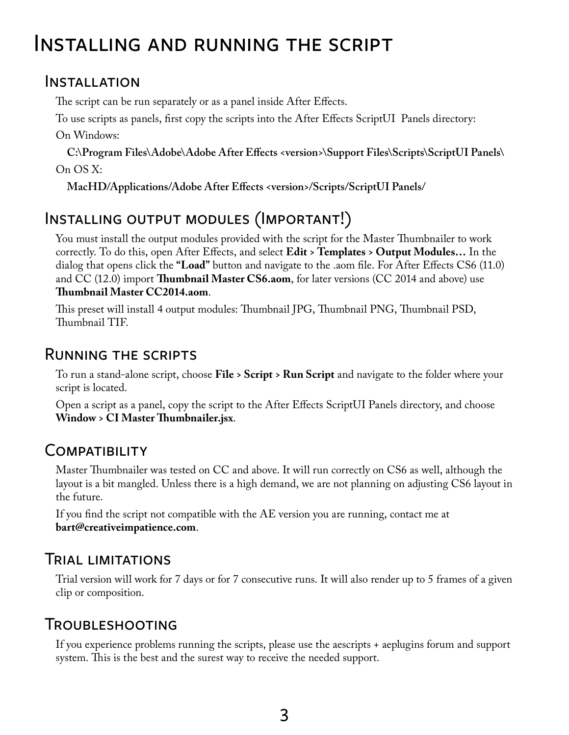## <span id="page-2-0"></span>Installing and running the script

#### Installation

The script can be run separately or as a panel inside After Effects.

To use scripts as panels, first copy the scripts into the After Effects ScriptUI Panels directory:

On Windows:

**C:\Program Files\Adobe\Adobe After Effects <version>\Support Files\Scripts\ScriptUI Panels\** On OS X:

**MacHD/Applications/Adobe After Effects <version>/Scripts/ScriptUI Panels/**

## Installing output modules (Important!)

You must install the output modules provided with the script for the Master Thumbnailer to work correctly. To do this, open After Effects, and select **Edit > Templates > Output Modules…** In the dialog that opens click the **"Load"** button and navigate to the .aom file. For After Effects CS6 (11.0) and CC (12.0) import **Thumbnail Master CS6.aom**, for later versions (CC 2014 and above) use **Thumbnail Master CC2014.aom**.

This preset will install 4 output modules: Thumbnail JPG, Thumbnail PNG, Thumbnail PSD, Thumbnail TIF.

#### Running the scripts

To run a stand-alone script, choose **File > Script > Run Script** and navigate to the folder where your script is located.

Open a script as a panel, copy the script to the After Effects ScriptUI Panels directory, and choose **Window > CI Master Thumbnailer.jsx**.

#### **COMPATIBILITY**

Master Thumbnailer was tested on CC and above. It will run correctly on CS6 as well, although the layout is a bit mangled. Unless there is a high demand, we are not planning on adjusting CS6 layout in the future.

If you find the script not compatible with the AE version you are running, contact me at **[bart@creativeimpatience.com](mailto:bart%40creativeimpatience.com?subject=Conform%20Studio%20-%20Troubleshooting)**.

### Trial limitations

Trial version will work for 7 days or for 7 consecutive runs. It will also render up to 5 frames of a given clip or composition.

### Troubleshooting

If you experience problems running the scripts, please use the aescripts + aeplugins forum and support system. This is the best and the surest way to receive the needed support.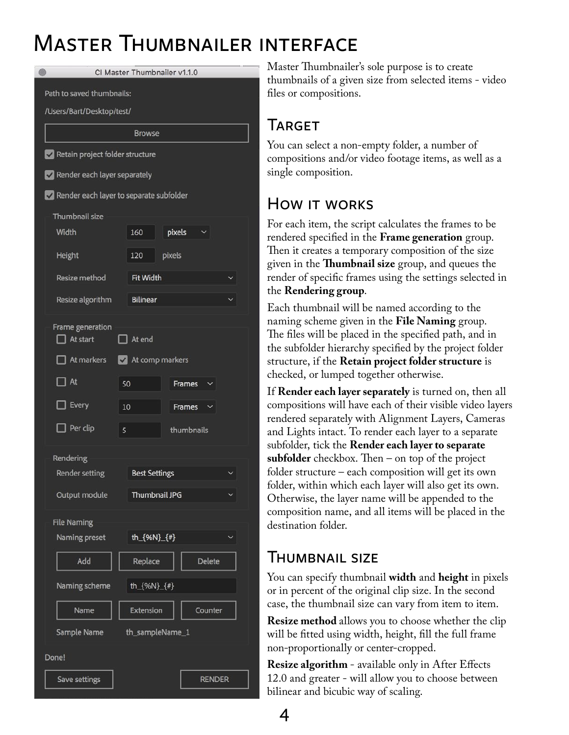## <span id="page-3-0"></span>Master Thumbnailer interface

| Path to saved thumbnails:                     |
|-----------------------------------------------|
|                                               |
| /Users/Bart/Desktop/test/                     |
| <b>Browse</b>                                 |
| Retain project folder structure               |
| Render each layer separately                  |
| Render each layer to separate subfolder       |
| Thumbnail size                                |
| Width<br>pixels<br>160                        |
| Height<br>pixels<br>120                       |
| Resize method<br><b>Fit Width</b>             |
| Resize algorithm<br><b>Bilinear</b>           |
| Frame generation                              |
| $\Box$ At start<br>$\Box$ At end              |
| At markers<br>At comp markers                 |
| $\exists$ At<br>50<br>Frames                  |
| Every<br>10<br>Frames                         |
| $\Box$ Per clip<br>thumbnails<br>5            |
| Rendering                                     |
| <b>Best Settings</b><br><b>Render setting</b> |
| Output module<br>Thumbnail JPG                |
| <b>File Naming</b>                            |
| th_{%N}_{#}<br>Naming preset                  |
| Add<br><b>Delete</b><br>Replace               |
| th_{%N}_{#}<br>Naming scheme                  |
| <b>Extension</b><br>Counter<br>Name           |
| Sample Name<br>th_sampleName_1                |
| Done!                                         |
| <b>RENDER</b><br>Save settings                |

Master Thumbnailer's sole purpose is to create thumbnails of a given size from selected items - video files or compositions.

## **TARGET**

You can select a non-empty folder, a number of compositions and/or video footage items, as well as a single composition.

## How it works

For each item, the script calculates the frames to be rendered specified in the **Frame generation** group. Then it creates a temporary composition of the size given in the **Thumbnail size** group, and queues the render of specific frames using the settings selected in the **Rendering group**.

Each thumbnail will be named according to the naming scheme given in the **File Naming** group. The files will be placed in the specified path, and in the subfolder hierarchy specified by the project folder structure, if the **Retain project folder structure** is checked, or lumped together otherwise.

If **Render each layer separately** is turned on, then all compositions will have each of their visible video layers rendered separately with Alignment Layers, Cameras and Lights intact. To render each layer to a separate subfolder, tick the **Render each layer to separate subfolder** checkbox. Then – on top of the project folder structure – each composition will get its own folder, within which each layer will also get its own. Otherwise, the layer name will be appended to the composition name, and all items will be placed in the destination folder.

### Thumbnail size

You can specify thumbnail **width** and **height** in pixels or in percent of the original clip size. In the second case, the thumbnail size can vary from item to item.

**Resize method** allows you to choose whether the clip will be fitted using width, height, fill the full frame non-proportionally or center-cropped.

**Resize algorithm** - available only in After Effects 12.0 and greater - will allow you to choose between bilinear and bicubic way of scaling.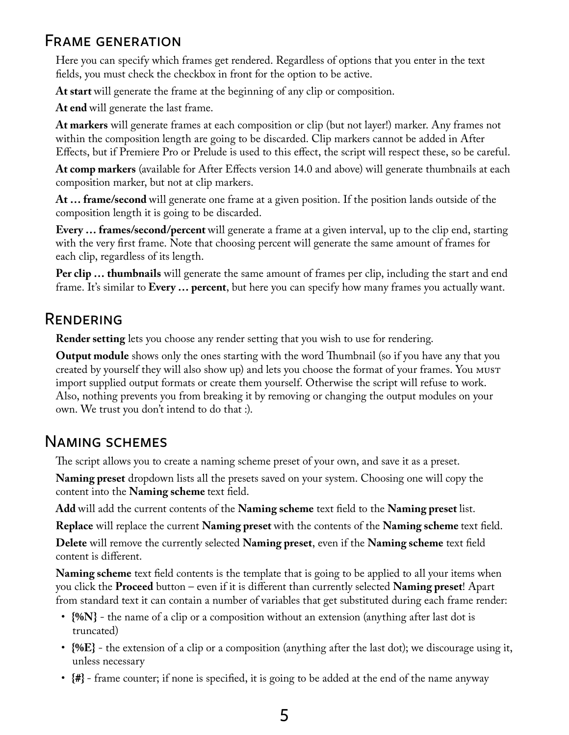#### Frame generation

Here you can specify which frames get rendered. Regardless of options that you enter in the text fields, you must check the checkbox in front for the option to be active.

**At start** will generate the frame at the beginning of any clip or composition.

**At end** will generate the last frame.

**At markers** will generate frames at each composition or clip (but not layer!) marker. Any frames not within the composition length are going to be discarded. Clip markers cannot be added in After Effects, but if Premiere Pro or Prelude is used to this effect, the script will respect these, so be careful.

**At comp markers** (available for After Effects version 14.0 and above) will generate thumbnails at each composition marker, but not at clip markers.

**At … frame/second** will generate one frame at a given position. If the position lands outside of the composition length it is going to be discarded.

**Every … frames/second/percent** will generate a frame at a given interval, up to the clip end, starting with the very first frame. Note that choosing percent will generate the same amount of frames for each clip, regardless of its length.

**Per clip … thumbnails** will generate the same amount of frames per clip, including the start and end frame. It's similar to **Every … percent**, but here you can specify how many frames you actually want.

#### Rendering

**Render setting** lets you choose any render setting that you wish to use for rendering.

**Output module** shows only the ones starting with the word Thumbnail (so if you have any that you created by yourself they will also show up) and lets you choose the format of your frames. You must import supplied output formats or create them yourself. Otherwise the script will refuse to work. Also, nothing prevents you from breaking it by removing or changing the output modules on your own. We trust you don't intend to do that :).

#### Naming schemes

The script allows you to create a naming scheme preset of your own, and save it as a preset.

**Naming preset** dropdown lists all the presets saved on your system. Choosing one will copy the content into the **Naming scheme** text field.

**Add** will add the current contents of the **Naming scheme** text field to the **Naming preset** list.

**Replace** will replace the current **Naming preset** with the contents of the **Naming scheme** text field.

**Delete** will remove the currently selected **Naming preset**, even if the **Naming scheme** text field content is different.

**Naming scheme** text field contents is the template that is going to be applied to all your items when you click the **Proceed** button – even if it is different than currently selected **Naming preset**! Apart from standard text it can contain a number of variables that get substituted during each frame render:

- $\{M\}$  the name of a clip or a composition without an extension (anything after last dot is truncated)
- **{%E}** the extension of a clip or a composition (anything after the last dot); we discourage using it, unless necessary
- $\{ \# \}$  frame counter; if none is specified, it is going to be added at the end of the name anyway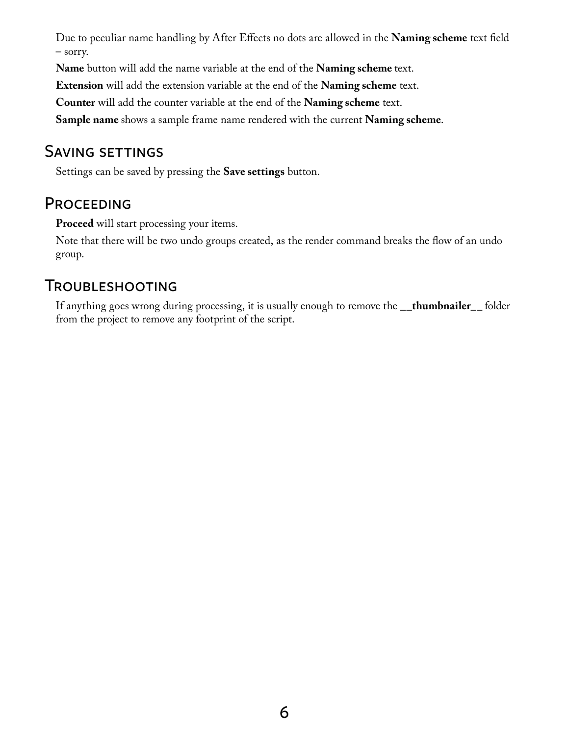Due to peculiar name handling by After Effects no dots are allowed in the **Naming scheme** text field – sorry.

**Name** button will add the name variable at the end of the **Naming scheme** text.

**Extension** will add the extension variable at the end of the **Naming scheme** text.

**Counter** will add the counter variable at the end of the **Naming scheme** text.

**Sample name** shows a sample frame name rendered with the current **Naming scheme**.

#### Saving settings

Settings can be saved by pressing the **Save settings** button.

#### **PROCEEDING**

**Proceed** will start processing your items.

Note that there will be two undo groups created, as the render command breaks the flow of an undo group.

#### Troubleshooting

If anything goes wrong during processing, it is usually enough to remove the **\_\_thumbnailer\_\_** folder from the project to remove any footprint of the script.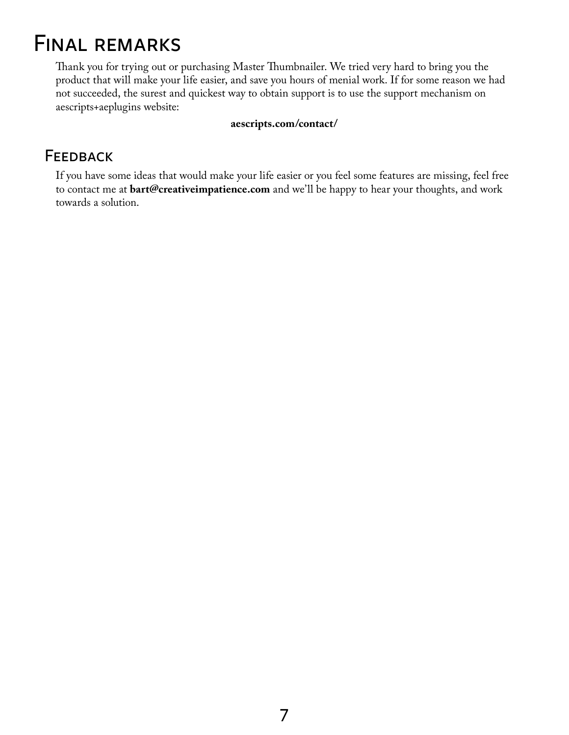## <span id="page-6-0"></span>Final remarks

Thank you for trying out or purchasing Master Thumbnailer. We tried very hard to bring you the product that will make your life easier, and save you hours of menial work. If for some reason we had not succeeded, the surest and quickest way to obtain support is to use the support mechanism on aescripts+aeplugins website:

#### **[aescripts.com/contact/](http://aescripts.com/contact/)**

#### **FEEDBACK**

If you have some ideas that would make your life easier or you feel some features are missing, feel free to contact me at **[bart@creativeimpatience.com](mailto:bart%40creativeimpatience.com?subject=Conform%20Studio%20-%20Development)** and we'll be happy to hear your thoughts, and work towards a solution.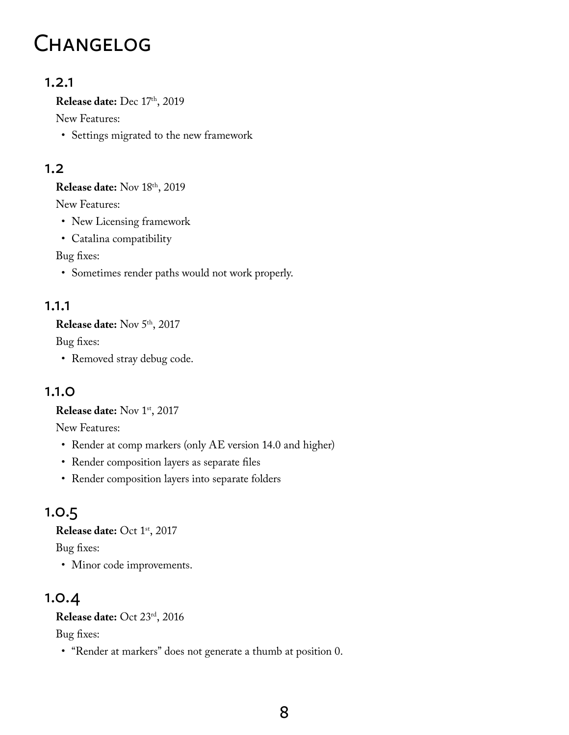## <span id="page-7-0"></span>**CHANGELOG**

#### 1.2.1

**Release date:** Dec 17th, 2019

New Features:

• Settings migrated to the new framework

#### 1.2

**Release date:** Nov 18th, 2019

New Features:

- New Licensing framework
- Catalina compatibility

Bug fixes:

• Sometimes render paths would not work properly.

#### 1.1.1

**Release date:** Nov 5th, 2017

Bug fixes:

• Removed stray debug code.

#### 1.1.0

**Release date:** Nov 1st, 2017

New Features:

- Render at comp markers (only AE version 14.0 and higher)
- Render composition layers as separate files
- Render composition layers into separate folders

## 1.0.5

**Release date:** Oct 1st, 2017

Bug fixes:

• Minor code improvements.

## 1.0.4

**Release date:** Oct 23rd, 2016

Bug fixes:

• "Render at markers" does not generate a thumb at position 0.